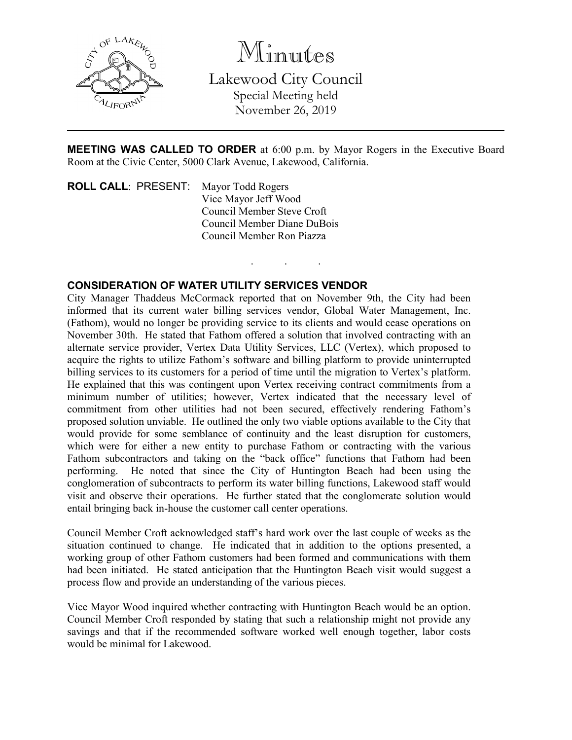

Minutes Lakewood City Council Special Meeting held November 26, 2019

**MEETING WAS CALLED TO ORDER** at 6:00 p.m. by Mayor Rogers in the Executive Board Room at the Civic Center, 5000 Clark Avenue, Lakewood, California.

. . .

**ROLL CALL**: PRESENT: Mayor Todd Rogers Vice Mayor Jeff Wood Council Member Steve Croft Council Member Diane DuBois Council Member Ron Piazza

## **CONSIDERATION OF WATER UTILITY SERVICES VENDOR**

City Manager Thaddeus McCormack reported that on November 9th, the City had been informed that its current water billing services vendor, Global Water Management, Inc. (Fathom), would no longer be providing service to its clients and would cease operations on November 30th. He stated that Fathom offered a solution that involved contracting with an alternate service provider, Vertex Data Utility Services, LLC (Vertex), which proposed to acquire the rights to utilize Fathom's software and billing platform to provide uninterrupted billing services to its customers for a period of time until the migration to Vertex's platform. He explained that this was contingent upon Vertex receiving contract commitments from a minimum number of utilities; however, Vertex indicated that the necessary level of commitment from other utilities had not been secured, effectively rendering Fathom's proposed solution unviable. He outlined the only two viable options available to the City that would provide for some semblance of continuity and the least disruption for customers, which were for either a new entity to purchase Fathom or contracting with the various Fathom subcontractors and taking on the "back office" functions that Fathom had been performing. He noted that since the City of Huntington Beach had been using the conglomeration of subcontracts to perform its water billing functions, Lakewood staff would visit and observe their operations. He further stated that the conglomerate solution would entail bringing back in-house the customer call center operations.

Council Member Croft acknowledged staff's hard work over the last couple of weeks as the situation continued to change. He indicated that in addition to the options presented, a working group of other Fathom customers had been formed and communications with them had been initiated. He stated anticipation that the Huntington Beach visit would suggest a process flow and provide an understanding of the various pieces.

Vice Mayor Wood inquired whether contracting with Huntington Beach would be an option. Council Member Croft responded by stating that such a relationship might not provide any savings and that if the recommended software worked well enough together, labor costs would be minimal for Lakewood.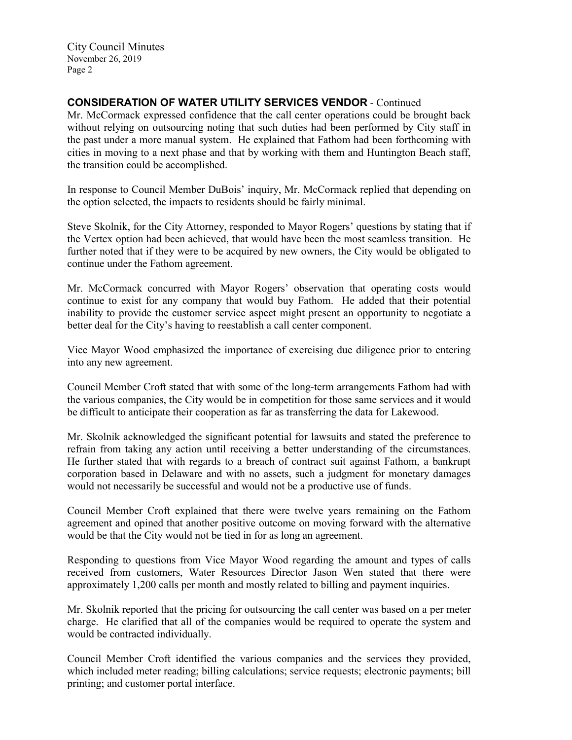City Council Minutes November 26, 2019 Page 2

## **CONSIDERATION OF WATER UTILITY SERVICES VENDOR** - Continued

Mr. McCormack expressed confidence that the call center operations could be brought back without relying on outsourcing noting that such duties had been performed by City staff in the past under a more manual system. He explained that Fathom had been forthcoming with cities in moving to a next phase and that by working with them and Huntington Beach staff, the transition could be accomplished.

In response to Council Member DuBois' inquiry, Mr. McCormack replied that depending on the option selected, the impacts to residents should be fairly minimal.

Steve Skolnik, for the City Attorney, responded to Mayor Rogers' questions by stating that if the Vertex option had been achieved, that would have been the most seamless transition. He further noted that if they were to be acquired by new owners, the City would be obligated to continue under the Fathom agreement.

Mr. McCormack concurred with Mayor Rogers' observation that operating costs would continue to exist for any company that would buy Fathom. He added that their potential inability to provide the customer service aspect might present an opportunity to negotiate a better deal for the City's having to reestablish a call center component.

Vice Mayor Wood emphasized the importance of exercising due diligence prior to entering into any new agreement.

Council Member Croft stated that with some of the long-term arrangements Fathom had with the various companies, the City would be in competition for those same services and it would be difficult to anticipate their cooperation as far as transferring the data for Lakewood.

Mr. Skolnik acknowledged the significant potential for lawsuits and stated the preference to refrain from taking any action until receiving a better understanding of the circumstances. He further stated that with regards to a breach of contract suit against Fathom, a bankrupt corporation based in Delaware and with no assets, such a judgment for monetary damages would not necessarily be successful and would not be a productive use of funds.

Council Member Croft explained that there were twelve years remaining on the Fathom agreement and opined that another positive outcome on moving forward with the alternative would be that the City would not be tied in for as long an agreement.

Responding to questions from Vice Mayor Wood regarding the amount and types of calls received from customers, Water Resources Director Jason Wen stated that there were approximately 1,200 calls per month and mostly related to billing and payment inquiries.

Mr. Skolnik reported that the pricing for outsourcing the call center was based on a per meter charge. He clarified that all of the companies would be required to operate the system and would be contracted individually.

Council Member Croft identified the various companies and the services they provided, which included meter reading; billing calculations; service requests; electronic payments; bill printing; and customer portal interface.